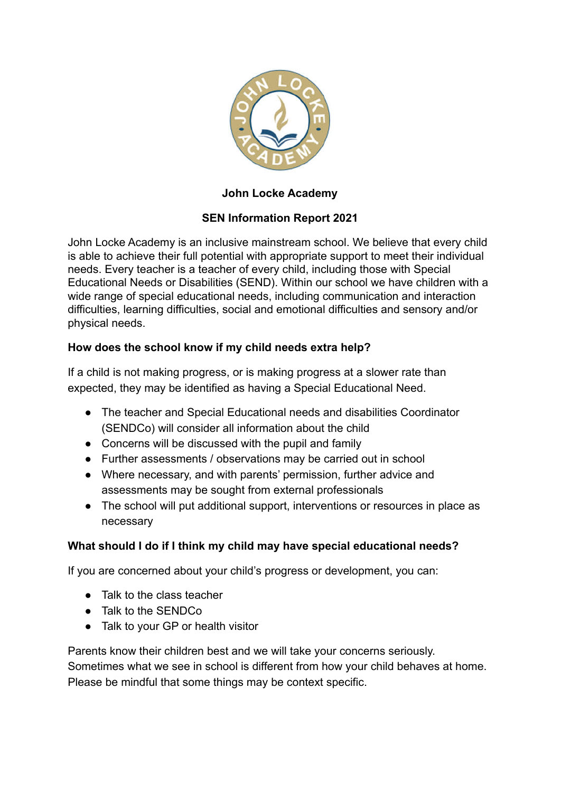

### **John Locke Academy**

# **SEN Information Report 2021**

John Locke Academy is an inclusive mainstream school. We believe that every child is able to achieve their full potential with appropriate support to meet their individual needs. Every teacher is a teacher of every child, including those with Special Educational Needs or Disabilities (SEND). Within our school we have children with a wide range of special educational needs, including communication and interaction difficulties, learning difficulties, social and emotional difficulties and sensory and/or physical needs.

#### **How does the school know if my child needs extra help?**

If a child is not making progress, or is making progress at a slower rate than expected, they may be identified as having a Special Educational Need.

- The teacher and Special Educational needs and disabilities Coordinator (SENDCo) will consider all information about the child
- Concerns will be discussed with the pupil and family
- Further assessments / observations may be carried out in school
- Where necessary, and with parents' permission, further advice and assessments may be sought from external professionals
- The school will put additional support, interventions or resources in place as necessary

#### **What should I do if I think my child may have special educational needs?**

If you are concerned about your child's progress or development, you can:

- Talk to the class teacher
- Talk to the SENDCo
- Talk to your GP or health visitor

Parents know their children best and we will take your concerns seriously. Sometimes what we see in school is different from how your child behaves at home. Please be mindful that some things may be context specific.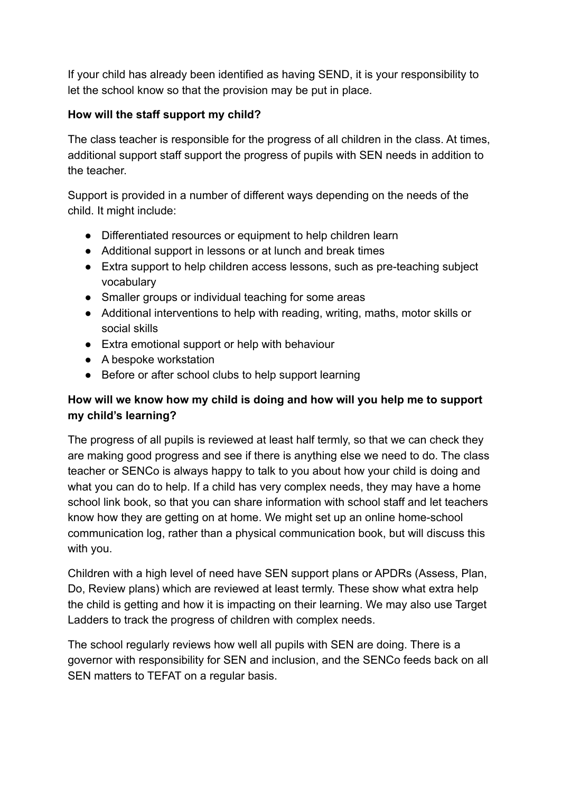If your child has already been identified as having SEND, it is your responsibility to let the school know so that the provision may be put in place.

### **How will the staff support my child?**

The class teacher is responsible for the progress of all children in the class. At times, additional support staff support the progress of pupils with SEN needs in addition to the teacher.

Support is provided in a number of different ways depending on the needs of the child. It might include:

- Differentiated resources or equipment to help children learn
- Additional support in lessons or at lunch and break times
- Extra support to help children access lessons, such as pre-teaching subject vocabulary
- Smaller groups or individual teaching for some areas
- Additional interventions to help with reading, writing, maths, motor skills or social skills
- Extra emotional support or help with behaviour
- A bespoke workstation
- Before or after school clubs to help support learning

# **How will we know how my child is doing and how will you help me to support my child's learning?**

The progress of all pupils is reviewed at least half termly, so that we can check they are making good progress and see if there is anything else we need to do. The class teacher or SENCo is always happy to talk to you about how your child is doing and what you can do to help. If a child has very complex needs, they may have a home school link book, so that you can share information with school staff and let teachers know how they are getting on at home. We might set up an online home-school communication log, rather than a physical communication book, but will discuss this with you.

Children with a high level of need have SEN support plans or APDRs (Assess, Plan, Do, Review plans) which are reviewed at least termly. These show what extra help the child is getting and how it is impacting on their learning. We may also use Target Ladders to track the progress of children with complex needs.

The school regularly reviews how well all pupils with SEN are doing. There is a governor with responsibility for SEN and inclusion, and the SENCo feeds back on all SEN matters to TEFAT on a regular basis.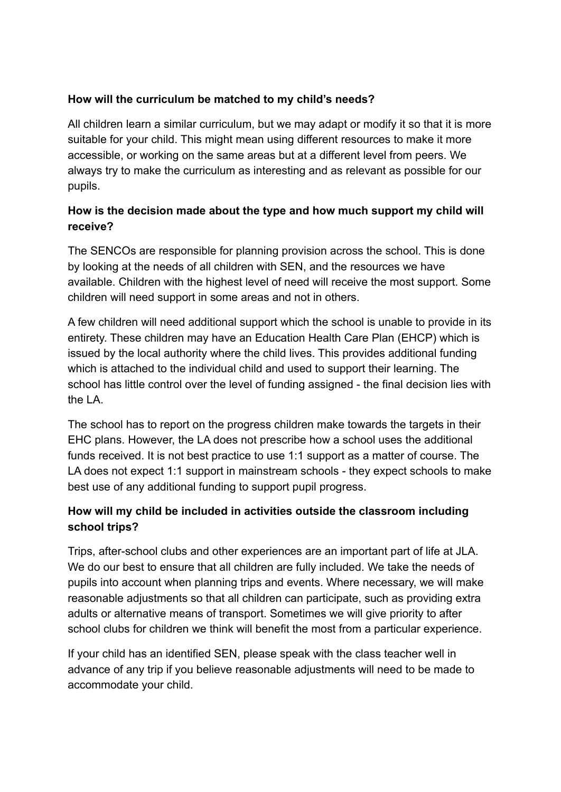### **How will the curriculum be matched to my child's needs?**

All children learn a similar curriculum, but we may adapt or modify it so that it is more suitable for your child. This might mean using different resources to make it more accessible, or working on the same areas but at a different level from peers. We always try to make the curriculum as interesting and as relevant as possible for our pupils.

# **How is the decision made about the type and how much support my child will receive?**

The SENCOs are responsible for planning provision across the school. This is done by looking at the needs of all children with SEN, and the resources we have available. Children with the highest level of need will receive the most support. Some children will need support in some areas and not in others.

A few children will need additional support which the school is unable to provide in its entirety. These children may have an Education Health Care Plan (EHCP) which is issued by the local authority where the child lives. This provides additional funding which is attached to the individual child and used to support their learning. The school has little control over the level of funding assigned - the final decision lies with the LA.

The school has to report on the progress children make towards the targets in their EHC plans. However, the LA does not prescribe how a school uses the additional funds received. It is not best practice to use 1:1 support as a matter of course. The LA does not expect 1:1 support in mainstream schools - they expect schools to make best use of any additional funding to support pupil progress.

# **How will my child be included in activities outside the classroom including school trips?**

Trips, after-school clubs and other experiences are an important part of life at JLA. We do our best to ensure that all children are fully included. We take the needs of pupils into account when planning trips and events. Where necessary, we will make reasonable adjustments so that all children can participate, such as providing extra adults or alternative means of transport. Sometimes we will give priority to after school clubs for children we think will benefit the most from a particular experience.

If your child has an identified SEN, please speak with the class teacher well in advance of any trip if you believe reasonable adjustments will need to be made to accommodate your child.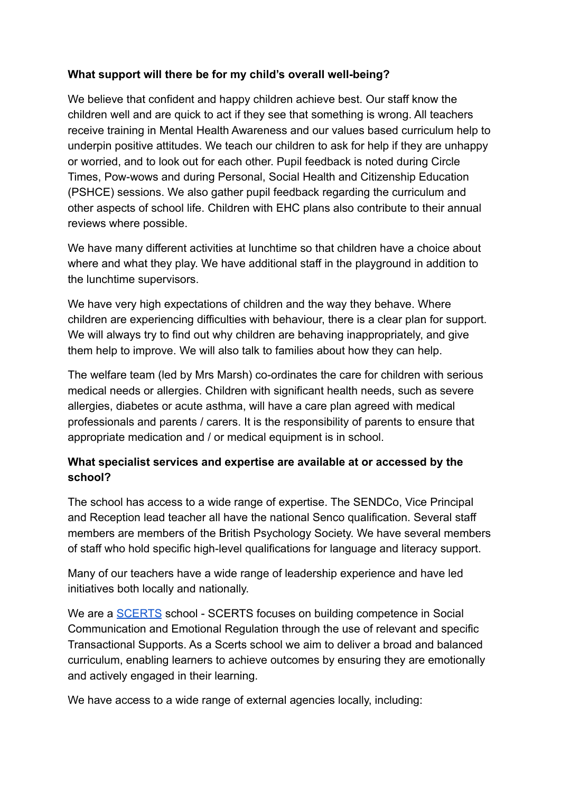### **What support will there be for my child's overall well-being?**

We believe that confident and happy children achieve best. Our staff know the children well and are quick to act if they see that something is wrong. All teachers receive training in Mental Health Awareness and our values based curriculum help to underpin positive attitudes. We teach our children to ask for help if they are unhappy or worried, and to look out for each other. Pupil feedback is noted during Circle Times, Pow-wows and during Personal, Social Health and Citizenship Education (PSHCE) sessions. We also gather pupil feedback regarding the curriculum and other aspects of school life. Children with EHC plans also contribute to their annual reviews where possible.

We have many different activities at lunchtime so that children have a choice about where and what they play. We have additional staff in the playground in addition to the lunchtime supervisors.

We have very high expectations of children and the way they behave. Where children are experiencing difficulties with behaviour, there is a clear plan for support. We will always try to find out why children are behaving inappropriately, and give them help to improve. We will also talk to families about how they can help.

The welfare team (led by Mrs Marsh) co-ordinates the care for children with serious medical needs or allergies. Children with significant health needs, such as severe allergies, diabetes or acute asthma, will have a care plan agreed with medical professionals and parents / carers. It is the responsibility of parents to ensure that appropriate medication and / or medical equipment is in school.

# **What specialist services and expertise are available at or accessed by the school?**

The school has access to a wide range of expertise. The SENDCo, Vice Principal and Reception lead teacher all have the national Senco qualification. Several staff members are members of the British Psychology Society. We have several members of staff who hold specific high-level qualifications for language and literacy support.

Many of our teachers have a wide range of leadership experience and have led initiatives both locally and nationally.

We are a **[SCERTS](http://scerts.com/)** school - SCERTS focuses on building competence in Social Communication and Emotional Regulation through the use of relevant and specific Transactional Supports. As a Scerts school we aim to deliver a broad and balanced curriculum, enabling learners to achieve outcomes by ensuring they are emotionally and actively engaged in their learning.

We have access to a wide range of external agencies locally, including: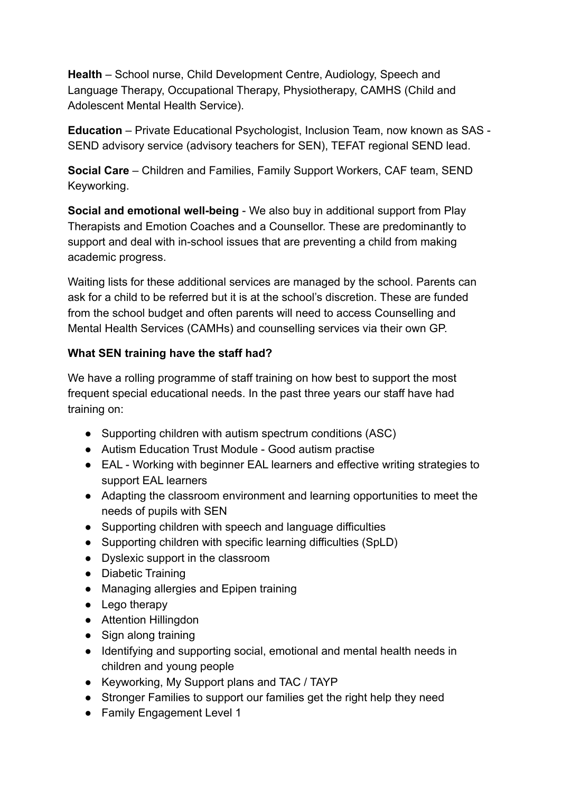**Health** – School nurse, Child Development Centre, Audiology, Speech and Language Therapy, Occupational Therapy, Physiotherapy, CAMHS (Child and Adolescent Mental Health Service).

**Education** – Private Educational Psychologist, Inclusion Team, now known as SAS - SEND advisory service (advisory teachers for SEN), TEFAT regional SEND lead.

**Social Care** – Children and Families, Family Support Workers, CAF team, SEND Keyworking.

**Social and emotional well-being** - We also buy in additional support from Play Therapists and Emotion Coaches and a Counsellor. These are predominantly to support and deal with in-school issues that are preventing a child from making academic progress.

Waiting lists for these additional services are managed by the school. Parents can ask for a child to be referred but it is at the school's discretion. These are funded from the school budget and often parents will need to access Counselling and Mental Health Services (CAMHs) and counselling services via their own GP.

#### **What SEN training have the staff had?**

We have a rolling programme of staff training on how best to support the most frequent special educational needs. In the past three years our staff have had training on:

- Supporting children with autism spectrum conditions (ASC)
- Autism Education Trust Module Good autism practise
- EAL Working with beginner EAL learners and effective writing strategies to support EAL learners
- Adapting the classroom environment and learning opportunities to meet the needs of pupils with SEN
- Supporting children with speech and language difficulties
- Supporting children with specific learning difficulties (SpLD)
- Dyslexic support in the classroom
- Diabetic Training
- Managing allergies and Epipen training
- Lego therapy
- Attention Hillingdon
- Sign along training
- Identifying and supporting social, emotional and mental health needs in children and young people
- Keyworking, My Support plans and TAC / TAYP
- Stronger Families to support our families get the right help they need
- Family Engagement Level 1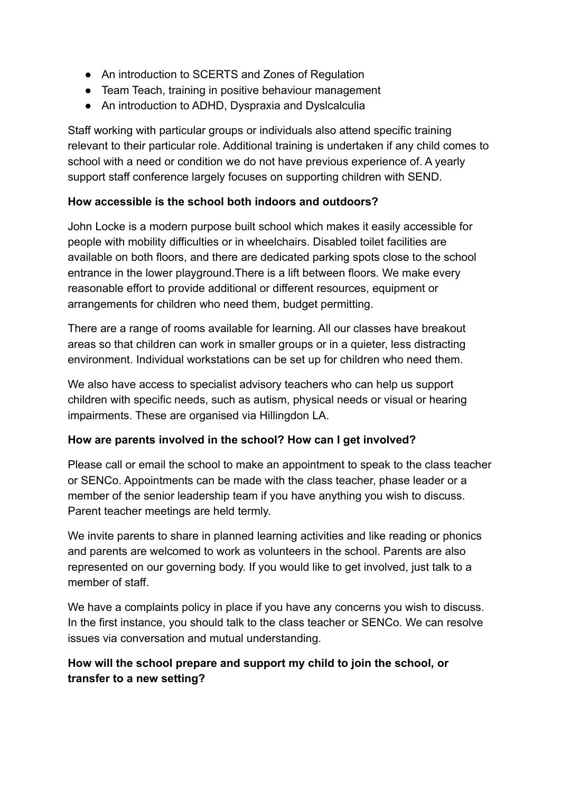- An introduction to SCERTS and Zones of Regulation
- Team Teach, training in positive behaviour management
- An introduction to ADHD, Dyspraxia and Dyslcalculia

Staff working with particular groups or individuals also attend specific training relevant to their particular role. Additional training is undertaken if any child comes to school with a need or condition we do not have previous experience of. A yearly support staff conference largely focuses on supporting children with SEND.

#### **How accessible is the school both indoors and outdoors?**

John Locke is a modern purpose built school which makes it easily accessible for people with mobility difficulties or in wheelchairs. Disabled toilet facilities are available on both floors, and there are dedicated parking spots close to the school entrance in the lower playground.There is a lift between floors. We make every reasonable effort to provide additional or different resources, equipment or arrangements for children who need them, budget permitting.

There are a range of rooms available for learning. All our classes have breakout areas so that children can work in smaller groups or in a quieter, less distracting environment. Individual workstations can be set up for children who need them.

We also have access to specialist advisory teachers who can help us support children with specific needs, such as autism, physical needs or visual or hearing impairments. These are organised via Hillingdon LA.

#### **How are parents involved in the school? How can I get involved?**

Please call or email the school to make an appointment to speak to the class teacher or SENCo. Appointments can be made with the class teacher, phase leader or a member of the senior leadership team if you have anything you wish to discuss. Parent teacher meetings are held termly.

We invite parents to share in planned learning activities and like reading or phonics and parents are welcomed to work as volunteers in the school. Parents are also represented on our governing body. If you would like to get involved, just talk to a member of staff.

We have a complaints policy in place if you have any concerns you wish to discuss. In the first instance, you should talk to the class teacher or SENCo. We can resolve issues via conversation and mutual understanding.

# **How will the school prepare and support my child to join the school, or transfer to a new setting?**